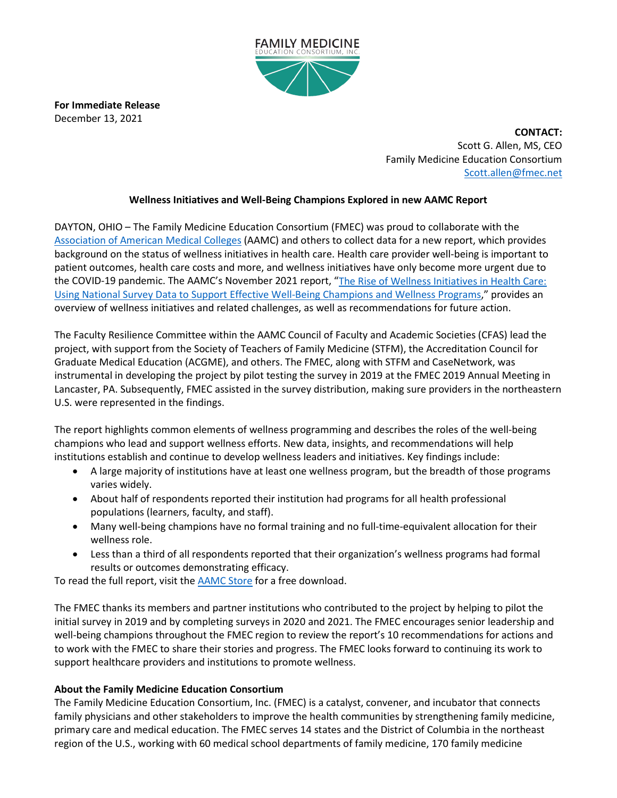

**For Immediate Release** December 13, 2021

> **CONTACT:** Scott G. Allen, MS, CEO Family Medicine Education Consortium [Scott.allen@fmec.net](mailto:Scott.allen@fmec.net)

## **Wellness Initiatives and Well-Being Champions Explored in new AAMC Report**

DAYTON, OHIO – The Family Medicine Education Consortium (FMEC) was proud to collaborate with the [Association of American Medical Colleges](https://www.aamc.org/) (AAMC) and others to collect data for a new report, which provides background on the status of wellness initiatives in health care. Health care provider well-being is important to patient outcomes, health care costs and more, and wellness initiatives have only become more urgent due to the COVID-19 pandemic. The AAMC's November 2021 report, "The Rise of Wellness Initiatives in Health Care: [Using National Survey Data to Support Effective Well-Being Champions and Wellness Programs,](https://store.aamc.org/the-rise-of-wellness-initiatives-in-health-care-using-national-survey-data-to-support-effective-well-being-champions-and-wellness-programs.html)" provides an overview of wellness initiatives and related challenges, as well as recommendations for future action.

The Faculty Resilience Committee within the AAMC Council of Faculty and Academic Societies (CFAS) lead the project, with support from the Society of Teachers of Family Medicine (STFM), the Accreditation Council for Graduate Medical Education (ACGME), and others. The FMEC, along with STFM and CaseNetwork, was instrumental in developing the project by pilot testing the survey in 2019 at the FMEC 2019 Annual Meeting in Lancaster, PA. Subsequently, FMEC assisted in the survey distribution, making sure providers in the northeastern U.S. were represented in the findings.

The report highlights common elements of wellness programming and describes the roles of the well-being champions who lead and support wellness efforts. New data, insights, and recommendations will help institutions establish and continue to develop wellness leaders and initiatives. Key findings include:

- A large majority of institutions have at least one wellness program, but the breadth of those programs varies widely.
- About half of respondents reported their institution had programs for all health professional populations (learners, faculty, and staff).
- Many well-being champions have no formal training and no full-time-equivalent allocation for their wellness role.
- Less than a third of all respondents reported that their organization's wellness programs had formal results or outcomes demonstrating efficacy.

To read the full report, visit the **AAMC Store** for a free download.

The FMEC thanks its members and partner institutions who contributed to the project by helping to pilot the initial survey in 2019 and by completing surveys in 2020 and 2021. The FMEC encourages senior leadership and well-being champions throughout the FMEC region to review the report's 10 recommendations for actions and to work with the FMEC to share their stories and progress. The FMEC looks forward to continuing its work to support healthcare providers and institutions to promote wellness.

## **About the Family Medicine Education Consortium**

The Family Medicine Education Consortium, Inc. (FMEC) is a catalyst, convener, and incubator that connects family physicians and other stakeholders to improve the health communities by strengthening family medicine, primary care and medical education. The FMEC serves 14 states and the District of Columbia in the northeast region of the U.S., working with 60 medical school departments of family medicine, 170 family medicine